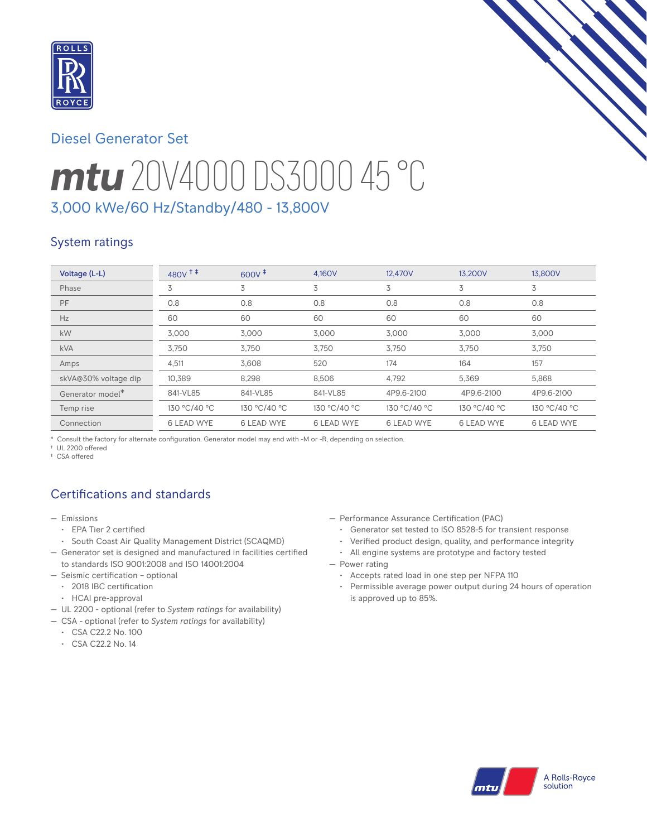

# Diesel Generator Set

# *mtu* 20V4000 DS3000 45 °C 3,000 kWe/60 Hz/Standby/480 - 13,800V

# System ratings

| Voltage (L-L)        | $480V$ <sup>++</sup> | $600V^{\ddagger}$ | 4.160V       | 12,470V           | 13.200V           | 13,800V           |
|----------------------|----------------------|-------------------|--------------|-------------------|-------------------|-------------------|
| Phase                | 3                    | 3                 | 3            | 3                 | 3                 | 3                 |
| PF                   | 0.8                  | 0.8               | 0.8          | 0.8               | 0.8               | 0.8               |
| Hz                   | 60                   | 60                | 60           | 60                | 60                | 60                |
| kW                   | 3.000                | 3,000             | 3,000        | 3,000             | 3,000             | 3,000             |
| <b>kVA</b>           | 3,750                | 3,750             | 3,750        | 3,750             | 3,750             | 3,750             |
| Amps                 | 4,511                | 3.608             | 520          | 174               | 164               | 157               |
| skVA@30% voltage dip | 10.389               | 8.298             | 8.506        | 4,792             | 5,369             | 5,868             |
| Generator model*     | 841-VL85             | 841-VL85          | 841-VL85     | 4P9.6-2100        | 4P9.6-2100        | 4P9.6-2100        |
| Temp rise            | 130 °C/40 °C         | 130 °C/40 °C      | 130 °C/40 °C | 130 °C/40 °C      | 130 °C/40 °C      | 130 °C/40 °C      |
| Connection           | <b>6 LEAD WYE</b>    | <b>6 LEAD WYE</b> | 6 LEAD WYE   | <b>6 LEAD WYE</b> | <b>6 LEAD WYE</b> | <b>6 LEAD WYE</b> |

\* Consult the factory for alternate configuration. Generator model may end with -M or -R, depending on selection.

† UL 2200 offered

‡ CSA offered

# Certifications and standards

- Emissions
	- EPA Tier 2 certified
	- South Coast Air Quality Management District (SCAQMD)
- Generator set is designed and manufactured in facilities certified to standards ISO 9001:2008 and ISO 14001:2004
- Seismic certification optional
- 2018 IBC certification
- HCAI pre-approval
- UL 2200 optional (refer to *System ratings* for availability)
- CSA optional (refer to *System ratings* for availability)
	- CSA C22.2 No. 100
	- CSA C22.2 No. 14
- Performance Assurance Certification (PAC)
	- Generator set tested to ISO 8528-5 for transient response
	- Verified product design, quality, and performance integrity
	- All engine systems are prototype and factory tested
- Power rating
	- Accepts rated load in one step per NFPA 110
	- Permissible average power output during 24 hours of operation is approved up to 85%.

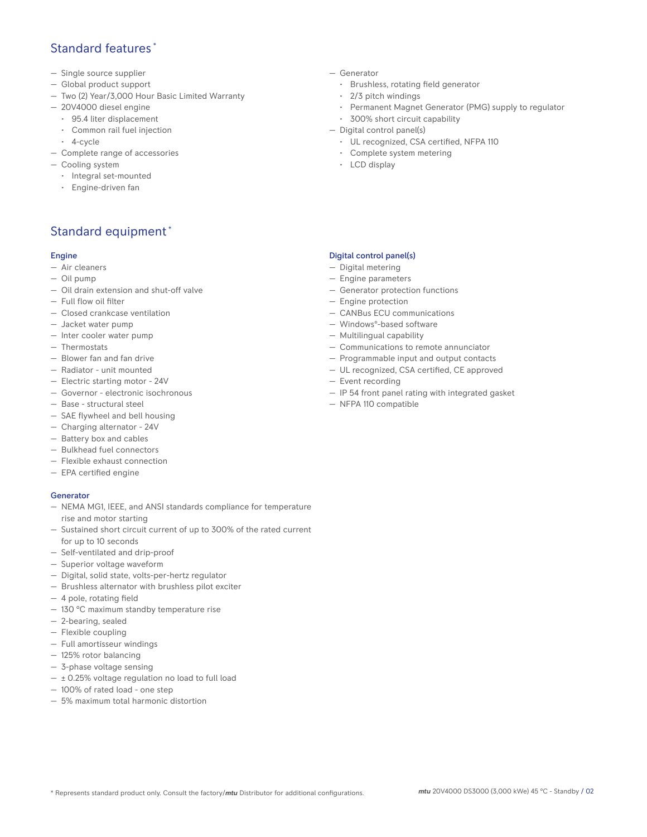## Standard features \*

- Single source supplier
- Global product support
- Two (2) Year/3,000 Hour Basic Limited Warranty
- 20V4000 diesel engine
	- 95.4 liter displacement
	- Common rail fuel injection
- 4-cycle
- Complete range of accessories
- Cooling system
	- Integral set-mounted
	- Engine-driven fan

# Standard equipment \*

#### Engine

- Air cleaners
- Oil pump
- Oil drain extension and shut-off valve
- Full flow oil filter
- Closed crankcase ventilation
- Jacket water pump
- Inter cooler water pump
- Thermostats
- Blower fan and fan drive
- Radiator unit mounted
- Electric starting motor 24V
- Governor electronic isochronous
- Base structural steel
- SAE flywheel and bell housing
- Charging alternator 24V
- Battery box and cables
- Bulkhead fuel connectors
- Flexible exhaust connection
- EPA certified engine

#### Generator

- NEMA MG1, IEEE, and ANSI standards compliance for temperature rise and motor starting
- Sustained short circuit current of up to 300% of the rated current for up to 10 seconds
- Self-ventilated and drip-proof
- Superior voltage waveform
- Digital, solid state, volts-per-hertz regulator
- Brushless alternator with brushless pilot exciter
- 4 pole, rotating field
- 130 °C maximum standby temperature rise
- 2-bearing, sealed
- Flexible coupling
- Full amortisseur windings
- 125% rotor balancing
- 3-phase voltage sensing
- $\pm$  0.25% voltage regulation no load to full load
- 100% of rated load one step
- 5% maximum total harmonic distortion
- Generator
	- Brushless, rotating field generator
	- 2/3 pitch windings
	- Permanent Magnet Generator (PMG) supply to regulator
- 300% short circuit capability
- Digital control panel(s)
	- UL recognized, CSA certified, NFPA 110
	- Complete system metering
	- LCD display

#### Digital control panel(s)

- Digital metering
- Engine parameters
- Generator protection functions
- Engine protection
- CANBus ECU communications
- Windows®-based software
- Multilingual capability
- Communications to remote annunciator
- Programmable input and output contacts
- UL recognized, CSA certified, CE approved
- Event recording
- IP 54 front panel rating with integrated gasket
- NFPA 110 compatible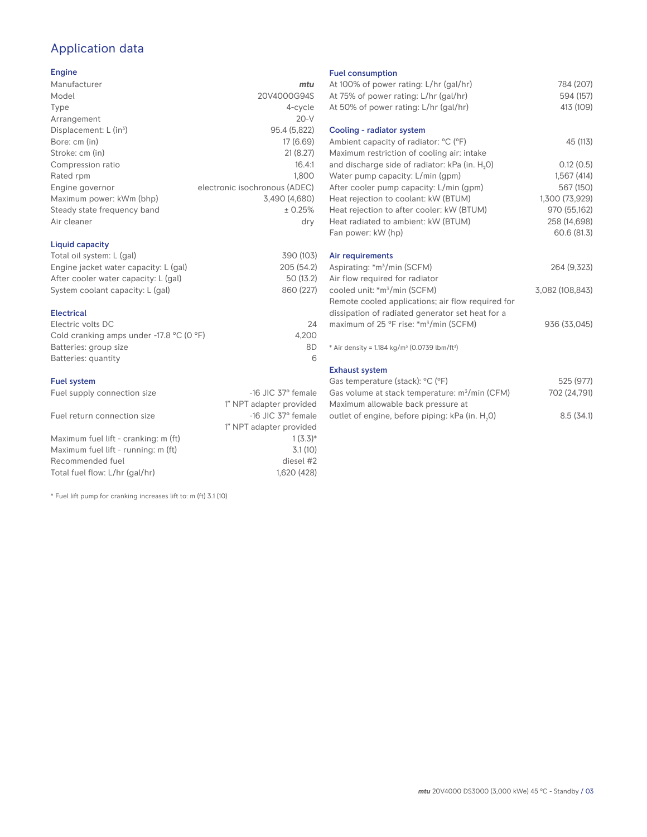# Application data

#### Engine

| Manufacturer                         | mtu                           |
|--------------------------------------|-------------------------------|
| Model                                | 20V4000G94S                   |
| Type                                 | 4-cycle                       |
| Arrangement                          | $20-V$                        |
| Displacement: $L$ (in <sup>3</sup> ) | 95.4 (5,822)                  |
| Bore: cm (in)                        | 17 (6.69)                     |
| Stroke: cm (in)                      | 21(8.27)                      |
| Compression ratio                    | 16.4:1                        |
| Rated rpm                            | 1.800                         |
| Engine governor                      | electronic isochronous (ADEC) |
| Maximum power: kWm (bhp)             | 3,490 (4,680)                 |
| Steady state frequency band          | ± 0.25%                       |
| Air cleaner                          | dry                           |
|                                      |                               |

#### Liquid capacity

| Total oil system: L (gal)             | 390 (103)  |
|---------------------------------------|------------|
| Engine jacket water capacity: L (gal) | 205 (54.2) |
| After cooler water capacity: L (gal)  | 50 (13.2)  |
| System coolant capacity: L (gal)      | 860 (227)  |
|                                       |            |

#### Electrical

| Electric volts DC                                            | 24    |
|--------------------------------------------------------------|-------|
| Cold cranking amps under -17.8 $^{\circ}$ C (O $^{\circ}$ F) | 4.200 |
| Batteries: group size                                        | 8D    |
| Batteries: quantity                                          |       |

#### Fuel system

| Fuel supply connection size          | $-16$ JIC 37 $\degree$ female |
|--------------------------------------|-------------------------------|
|                                      | 1" NPT adapter provided       |
| Fuel return connection size          | $-16$ JIC 37 $\degree$ female |
|                                      | 1" NPT adapter provided       |
| Maximum fuel lift - cranking: m (ft) | $1(3.3)*$                     |
| Maximum fuel lift - running: m (ft)  | 3.1(10)                       |
| Recommended fuel                     | diesel #2                     |
| Total fuel flow: L/hr (gal/hr)       | 1,620 (428)                   |

\* Fuel lift pump for cranking increases lift to: m (ft) 3.1 (10)

#### Fuel consumption

| At 100% of power rating: L/hr (gal/hr)<br>At 75% of power rating: L/hr (gal/hr) | 784 (207)<br>594 (157) |
|---------------------------------------------------------------------------------|------------------------|
| At 50% of power rating: L/hr (gal/hr)<br>Cooling - radiator system              | 413 (109)              |
|                                                                                 |                        |
| Ambient capacity of radiator: °C (°F)                                           | 45 (113)               |
| Maximum restriction of cooling air: intake                                      |                        |
| and discharge side of radiator: kPa (in. H <sub>2</sub> O)                      | 0.12(0.5)              |
| Water pump capacity: L/min (gpm)                                                | 1,567(414)             |
| After cooler pump capacity: L/min (gpm)                                         | 567 (150)              |
| Heat rejection to coolant: kW (BTUM)                                            | 1,300 (73,929)         |
| Heat rejection to after cooler: kW (BTUM)                                       | 970 (55,162)           |
| Heat radiated to ambient: kW (BTUM)                                             | 258 (14,698)           |
| Fan power: kW (hp)                                                              | 60.6 (81.3)            |
| Air requirements                                                                |                        |
| Aspirating: *m <sup>3</sup> /min (SCFM)                                         | 264 (9,323)            |
| Air flow required for radiator                                                  |                        |
| cooled unit: *m <sup>3</sup> /min (SCFM)                                        | 3,082 (108,843)        |
| Remote cooled applications; air flow required for                               |                        |
| dissipation of radiated generator set heat for a                                |                        |
| maximum of 25 °F rise: *m <sup>3</sup> /min (SCFM)                              | 936 (33,045)           |
|                                                                                 |                        |
| * Air density = $1.184 \text{ kg/m}^3$ (0.0739 lbm/ft <sup>3</sup> )            |                        |
| <b>Exhaust system</b>                                                           |                        |
| Gas temperature (stack): °C (°F)                                                | 525 (977)              |
| Gas volume at stack temperature: m <sup>3</sup> /min (CFM)                      | 702 (24,791)           |

| Gas volume at stack temperature: m <sup>3</sup> /min (CFM)  | 702 (24,791) |
|-------------------------------------------------------------|--------------|
| Maximum allowable back pressure at                          |              |
| outlet of engine, before piping: kPa (in. H <sub>2</sub> O) | 8.5(34.1)    |